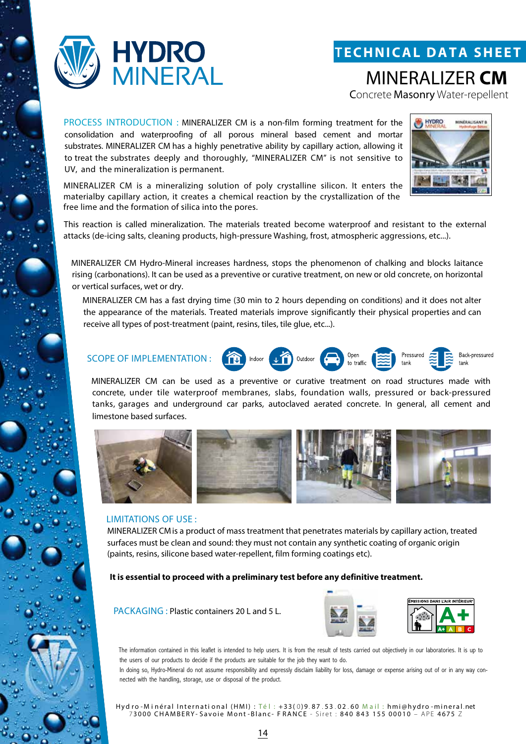



MINERALIZER **CM**

Concrete Masonry Water-repellent

PROCESS INTRODUCTION : MINERALIZER CM is a non-film forming treatment for the consolidation and waterproofing of all porous mineral based cement and mortar substrates. MINERALIZER CM has a highly penetrative ability by capillary action, allowing it to treat the substrates deeply and thoroughly, "MINERALIZER CM" is not sensitive to UV, and the mineralization is permanent.



Back-pressured

tank

Pressured

MINERALIZER CM is a mineralizing solution of poly crystalline silicon. It enters the materialby capillary action, it creates a chemical reaction by the crystallization of the free lime and the formation of silica into the pores.

This reaction is called mineralization. The materials treated become waterproof and resistant to the external attacks (de-icing salts, cleaning products, high-pressure Washing, frost, atmospheric aggressions, etc...).

MINERALIZER CM Hydro-Mineral increases hardness, stops the phenomenon of chalking and blocks laitance rising (carbonations). It can be used as a preventive or curative treatment, on new or old concrete, on horizontal or vertical surfaces, wet or dry.

MINERALIZER CM has a fast drying time (30 min to 2 hours depending on conditions) and it does not alter the appearance of the materials. Treated materials improve significantly their physical properties and can receive all types of post-treatment (paint, resins, tiles, tile glue, etc...).

## SCOPE OF IMPLEMENTATION :  $\overbrace{1}$  Indoor  $\overbrace{1}$  Outdoor  $\overbrace{1}$  Outdoor

MINERALIZER CM can be used as a preventive or curative treatment on road structures made with concrete, under tile waterproof membranes, slabs, foundation walls, pressured or back-pressured tanks, garages and underground car parks, autoclaved aerated concrete. In general, all cement and limestone based surfaces.



#### LIMITATIONS OF USE :

MINERALIZER CMis a product of mass treatment that penetrates materials by capillary action, treated surfaces must be clean and sound: they must not contain any synthetic coating of organic origin (paints, resins, silicone based water-repellent, film forming coatings etc).

**It is essential to proceed with a preliminary test before any definitive treatment.**

PACKAGING : Plastic containers 20 L and 5 L.



The information contained in this leaflet is intended to help users. It is from the result of tests carried out objectively in our laboratories. It is up to the users of our products to decide if the products are suitable for the job they want to do.

In doing so, Hydro-Mineral do not assume responsibility and expressly disclaim liability for loss, damage or expense arising out of or in any way connected with the handling, storage, use or disposal of the product.

Hyd ro - Minéral International (HMI) : Té l : +33(0)9.87.53.02.60 Mail : hmi@hydro -mineral.net 73000 CHAMBERY- Savoie Mont-Blanc- FRANCE - Siret : 840 843 155 00010 - APE 4675 Z